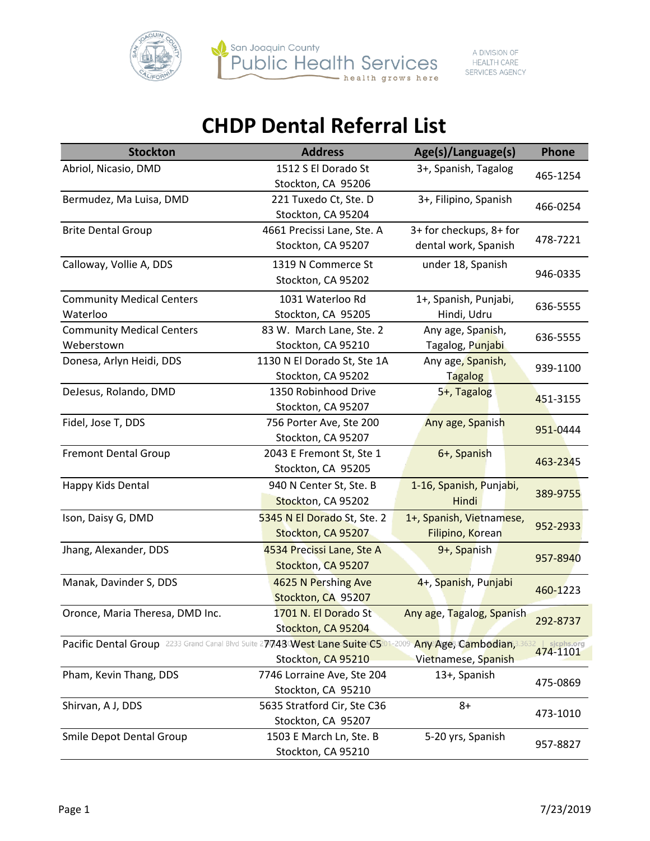



| <b>Stockton</b>                                                                                       | <b>Address</b>              | Age(s)/Language(s)        | <b>Phone</b>               |
|-------------------------------------------------------------------------------------------------------|-----------------------------|---------------------------|----------------------------|
| Abriol, Nicasio, DMD                                                                                  | 1512 S El Dorado St         | 3+, Spanish, Tagalog      |                            |
|                                                                                                       | Stockton, CA 95206          |                           | 465-1254                   |
| Bermudez, Ma Luisa, DMD                                                                               | 221 Tuxedo Ct, Ste. D       | 3+, Filipino, Spanish     | 466-0254                   |
|                                                                                                       | Stockton, CA 95204          |                           |                            |
| <b>Brite Dental Group</b>                                                                             | 4661 Precissi Lane, Ste. A  | 3+ for checkups, 8+ for   |                            |
|                                                                                                       | Stockton, CA 95207          | dental work, Spanish      | 478-7221                   |
| Calloway, Vollie A, DDS                                                                               | 1319 N Commerce St          | under 18, Spanish         |                            |
|                                                                                                       | Stockton, CA 95202          |                           | 946-0335                   |
| <b>Community Medical Centers</b>                                                                      | 1031 Waterloo Rd            | 1+, Spanish, Punjabi,     |                            |
| Waterloo                                                                                              | Stockton, CA 95205          | Hindi, Udru               | 636-5555                   |
| <b>Community Medical Centers</b>                                                                      | 83 W. March Lane, Ste. 2    | Any age, Spanish,         |                            |
| Weberstown                                                                                            | Stockton, CA 95210          | Tagalog, Punjabi          | 636-5555                   |
| Donesa, Arlyn Heidi, DDS                                                                              | 1130 N El Dorado St, Ste 1A | Any age, Spanish,         |                            |
|                                                                                                       | Stockton, CA 95202          | <b>Tagalog</b>            | 939-1100                   |
| DeJesus, Rolando, DMD                                                                                 | 1350 Robinhood Drive        | 5+, Tagalog               | 451-3155                   |
|                                                                                                       | Stockton, CA 95207          |                           |                            |
| Fidel, Jose T, DDS                                                                                    | 756 Porter Ave, Ste 200     | Any age, Spanish          | 951-0444                   |
|                                                                                                       | Stockton, CA 95207          |                           |                            |
| <b>Fremont Dental Group</b>                                                                           | 2043 E Fremont St, Ste 1    | 6+, Spanish               | 463-2345                   |
|                                                                                                       | Stockton, CA 95205          |                           |                            |
| Happy Kids Dental                                                                                     | 940 N Center St, Ste. B     | 1-16, Spanish, Punjabi,   | 389-9755                   |
|                                                                                                       | Stockton, CA 95202          | Hindi                     |                            |
| Ison, Daisy G, DMD                                                                                    | 5345 N El Dorado St, Ste. 2 | 1+, Spanish, Vietnamese,  |                            |
|                                                                                                       | Stockton, CA 95207          | Filipino, Korean          | 952-2933                   |
| Jhang, Alexander, DDS                                                                                 | 4534 Precissi Lane, Ste A   | 9+, Spanish               |                            |
|                                                                                                       | Stockton, CA 95207          |                           | 957-8940                   |
| Manak, Davinder S, DDS                                                                                | 4625 N Pershing Ave         | 4+, Spanish, Punjabi      | 460-1223                   |
|                                                                                                       | Stockton, CA 95207          |                           |                            |
| Oronce, Maria Theresa, DMD Inc.                                                                       | 1701 N. El Dorado St        | Any age, Tagalog, Spanish | 292-8737                   |
|                                                                                                       | Stockton, CA 95204          |                           |                            |
| Pacific Dental Group 2233 Grand Canal Blvd Suite 27743 West Lane Suite C5201-2009 Any Age, Cambodian, |                             |                           | $ $ sjcphs.org<br>474-1101 |
|                                                                                                       | Stockton, CA 95210          | Vietnamese, Spanish       |                            |
| Pham, Kevin Thang, DDS                                                                                | 7746 Lorraine Ave, Ste 204  | 13+, Spanish              | 475-0869                   |
|                                                                                                       | Stockton, CA 95210          |                           |                            |
| Shirvan, A J, DDS                                                                                     | 5635 Stratford Cir, Ste C36 | $8+$                      | 473-1010                   |
|                                                                                                       | Stockton, CA 95207          |                           |                            |
| Smile Depot Dental Group                                                                              | 1503 E March Ln, Ste. B     | 5-20 yrs, Spanish         | 957-8827                   |
|                                                                                                       | Stockton, CA 95210          |                           |                            |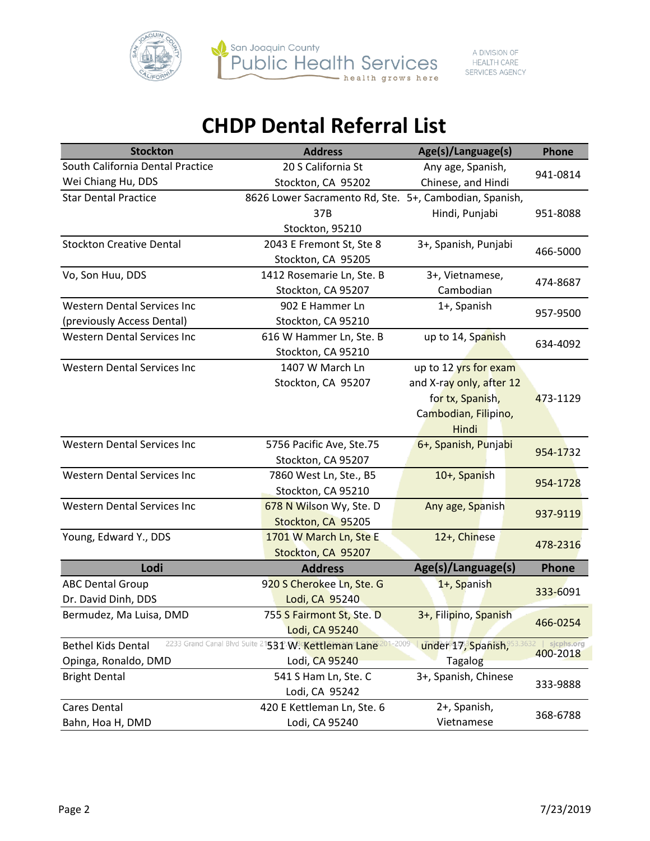

| San Joaquin County     |
|------------------------|
| Public Health Services |
| health grows here      |

| <b>Stockton</b>                                          | <b>Address</b>                                         | Age(s)/Language(s)       | <b>Phone</b>           |
|----------------------------------------------------------|--------------------------------------------------------|--------------------------|------------------------|
| South California Dental Practice                         | 20 S California St                                     | Any age, Spanish,        | 941-0814               |
| Wei Chiang Hu, DDS                                       | Stockton, CA 95202                                     | Chinese, and Hindi       |                        |
| <b>Star Dental Practice</b>                              | 8626 Lower Sacramento Rd, Ste. 5+, Cambodian, Spanish, |                          |                        |
|                                                          | 37B                                                    | Hindi, Punjabi           | 951-8088               |
|                                                          | Stockton, 95210                                        |                          |                        |
| <b>Stockton Creative Dental</b>                          | 2043 E Fremont St, Ste 8                               | 3+, Spanish, Punjabi     |                        |
|                                                          | Stockton, CA 95205                                     |                          | 466-5000               |
| Vo, Son Huu, DDS                                         | 1412 Rosemarie Ln, Ste. B                              | 3+, Vietnamese,          |                        |
|                                                          | Stockton, CA 95207                                     | Cambodian                | 474-8687               |
| <b>Western Dental Services Inc</b>                       | 902 E Hammer Ln                                        | 1+, Spanish              |                        |
| (previously Access Dental)                               | Stockton, CA 95210                                     |                          | 957-9500               |
| <b>Western Dental Services Inc</b>                       | 616 W Hammer Ln, Ste. B                                | up to 14, Spanish        |                        |
|                                                          | Stockton, CA 95210                                     |                          | 634-4092               |
| <b>Western Dental Services Inc</b>                       | 1407 W March Ln                                        | up to 12 yrs for exam    |                        |
|                                                          | Stockton, CA 95207                                     | and X-ray only, after 12 |                        |
|                                                          |                                                        | for tx, Spanish,         | 473-1129               |
|                                                          |                                                        | Cambodian, Filipino,     |                        |
|                                                          |                                                        | Hindi                    |                        |
| <b>Western Dental Services Inc</b>                       | 5756 Pacific Ave, Ste.75                               | 6+, Spanish, Punjabi     | 954-1732               |
|                                                          | Stockton, CA 95207                                     |                          |                        |
| <b>Western Dental Services Inc</b>                       | 7860 West Ln, Ste., B5                                 | 10+, Spanish             |                        |
|                                                          | Stockton, CA 95210                                     |                          | 954-1728               |
| <b>Western Dental Services Inc</b>                       | 678 N Wilson Wy, Ste. D                                | Any age, Spanish         | 937-9119               |
|                                                          | Stockton, CA 95205                                     |                          |                        |
| Young, Edward Y., DDS                                    | 1701 W March Ln, Ste E                                 | 12+, Chinese             | 478-2316               |
|                                                          | Stockton, CA 95207                                     |                          |                        |
| Lodi                                                     | <b>Address</b>                                         | Age(s)/Language(s)       | <b>Phone</b>           |
| <b>ABC Dental Group</b>                                  | 920 S Cherokee Ln, Ste. G                              | 1+, Spanish              | 333-6091               |
| Dr. David Dinh, DDS                                      | Lodi, CA 95240                                         |                          |                        |
| Bermudez, Ma Luisa, DMD                                  | 755 S Fairmont St, Ste. D                              | 3+, Filipino, Spanish    | 466-0254               |
|                                                          | Lodi, CA 95240                                         |                          |                        |
| 2233 Grand Canal Blvd Suite<br><b>Bethel Kids Dental</b> | 201-2009<br>531 W. Kettleman Lane                      | under 17, Spanish,       | sjcphs.org<br>400-2018 |
| Opinga, Ronaldo, DMD                                     | Lodi, CA 95240                                         | <b>Tagalog</b>           |                        |
| <b>Bright Dental</b>                                     | 541 S Ham Ln, Ste. C                                   | 3+, Spanish, Chinese     | 333-9888               |
|                                                          | Lodi, CA 95242                                         |                          |                        |
| Cares Dental                                             | 420 E Kettleman Ln, Ste. 6                             | 2+, Spanish,             | 368-6788               |
| Bahn, Hoa H, DMD                                         | Lodi, CA 95240                                         | Vietnamese               |                        |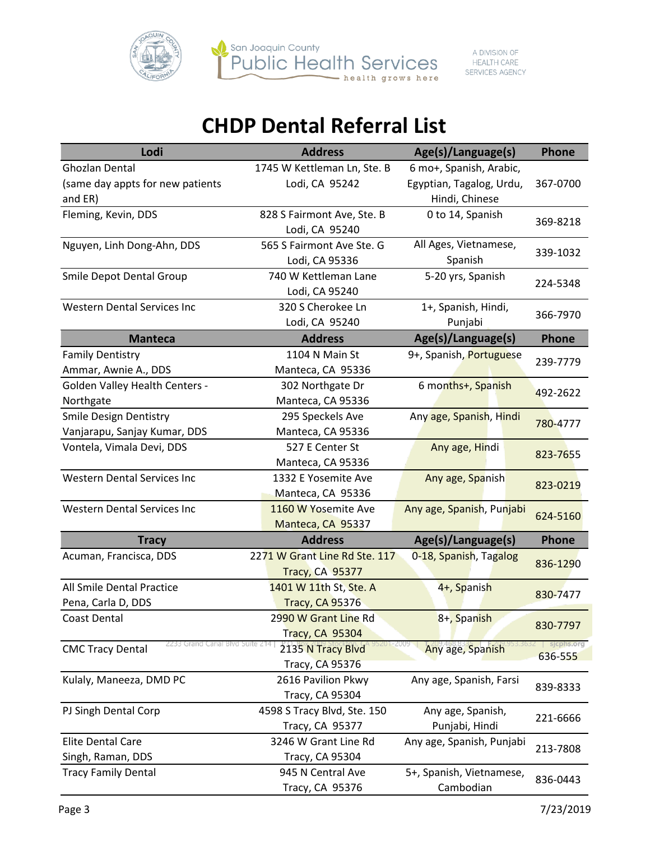



| Lodi                                  | <b>Address</b>                | Age(s)/Language(s)        | <b>Phone</b>          |
|---------------------------------------|-------------------------------|---------------------------|-----------------------|
| Ghozlan Dental                        | 1745 W Kettleman Ln, Ste. B   | 6 mo+, Spanish, Arabic,   |                       |
| (same day appts for new patients      | Lodi, CA 95242                | Egyptian, Tagalog, Urdu,  | 367-0700              |
| and ER)                               |                               | Hindi, Chinese            |                       |
| Fleming, Kevin, DDS                   | 828 S Fairmont Ave, Ste. B    | 0 to 14, Spanish          | 369-8218              |
|                                       | Lodi, CA 95240                |                           |                       |
| Nguyen, Linh Dong-Ahn, DDS            | 565 S Fairmont Ave Ste. G     | All Ages, Vietnamese,     | 339-1032              |
|                                       | Lodi, CA 95336                | Spanish                   |                       |
| Smile Depot Dental Group              | 740 W Kettleman Lane          | 5-20 yrs, Spanish         | 224-5348              |
|                                       | Lodi, CA 95240                |                           |                       |
| <b>Western Dental Services Inc.</b>   | 320 S Cherokee Ln             | 1+, Spanish, Hindi,       | 366-7970              |
|                                       | Lodi, CA 95240                | Punjabi                   |                       |
| <b>Manteca</b>                        | <b>Address</b>                | Age(s)/Language(s)        | <b>Phone</b>          |
| <b>Family Dentistry</b>               | 1104 N Main St                | 9+, Spanish, Portuguese   | 239-7779              |
| Ammar, Awnie A., DDS                  | Manteca, CA 95336             |                           |                       |
| <b>Golden Valley Health Centers -</b> | 302 Northgate Dr              | 6 months+, Spanish        | 492-2622              |
| Northgate                             | Manteca, CA 95336             |                           |                       |
| <b>Smile Design Dentistry</b>         | 295 Speckels Ave              | Any age, Spanish, Hindi   | 780-4777              |
| Vanjarapu, Sanjay Kumar, DDS          | Manteca, CA 95336             |                           |                       |
| Vontela, Vimala Devi, DDS             | 527 E Center St               | Any age, Hindi            | 823-7655              |
|                                       | Manteca, CA 95336             |                           |                       |
| <b>Western Dental Services Inc</b>    | 1332 E Yosemite Ave           | Any age, Spanish          | 823-0219              |
|                                       | Manteca, CA 95336             |                           |                       |
| <b>Western Dental Services Inc</b>    | 1160 W Yosemite Ave           | Any age, Spanish, Punjabi | 624-5160              |
|                                       | Manteca, CA 95337             |                           |                       |
| <b>Tracy</b>                          | <b>Address</b>                | Age(s)/Language(s)        | <b>Phone</b>          |
| Acuman, Francisca, DDS                | 2271 W Grant Line Rd Ste. 117 | 0-18, Spanish, Tagalog    | 836-1290              |
|                                       | <b>Tracy, CA 95377</b>        |                           |                       |
| All Smile Dental Practice             | 1401 W 11th St, Ste. A        | 4+, Spanish               | 830-7477              |
| Pena, Carla D, DDS                    | <b>Tracy, CA 95376</b>        |                           |                       |
| Coast Dental                          | 2990 W Grant Line Rd          | 8+, Spanish               | 830-7797              |
|                                       | Tracy, CA 95304               |                           |                       |
| <b>CMC Tracy Dental</b>               | 2135 N Tracy Blvd             | Any age, Spanish          | sjcphs.org<br>636-555 |
|                                       | Tracy, CA 95376               |                           |                       |
| Kulaly, Maneeza, DMD PC               | 2616 Pavilion Pkwy            | Any age, Spanish, Farsi   | 839-8333              |
|                                       | Tracy, CA 95304               |                           |                       |
| PJ Singh Dental Corp                  | 4598 S Tracy Blvd, Ste. 150   | Any age, Spanish,         | 221-6666              |
|                                       | Tracy, CA 95377               | Punjabi, Hindi            |                       |
| <b>Elite Dental Care</b>              | 3246 W Grant Line Rd          | Any age, Spanish, Punjabi | 213-7808              |
| Singh, Raman, DDS                     | Tracy, CA 95304               |                           |                       |
| <b>Tracy Family Dental</b>            | 945 N Central Ave             | 5+, Spanish, Vietnamese,  | 836-0443              |
|                                       | Tracy, CA 95376               | Cambodian                 |                       |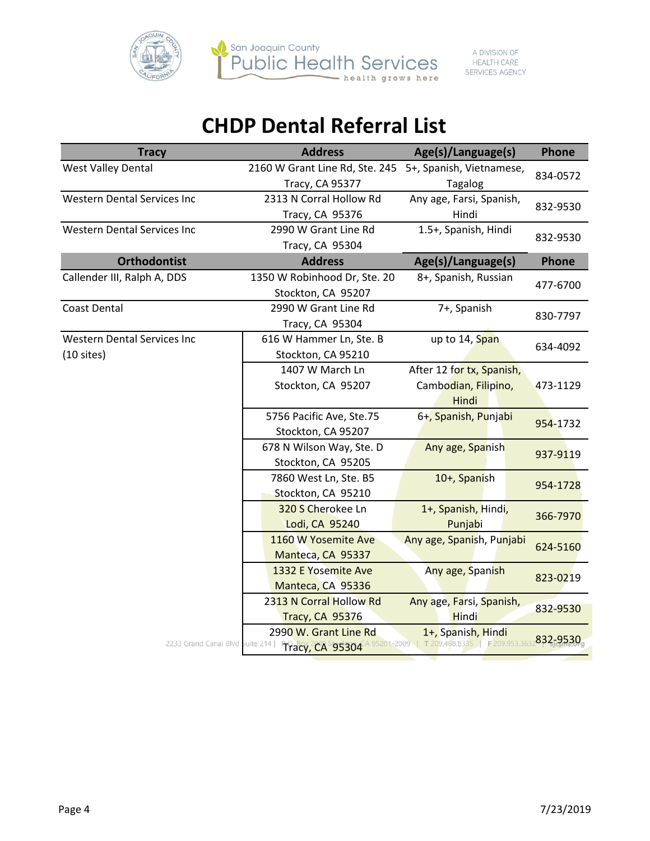



| <b>Tracy</b>                                       | <b>Address</b>                                                | Age(s)/Language(s)                                         | Phone                   |
|----------------------------------------------------|---------------------------------------------------------------|------------------------------------------------------------|-------------------------|
| <b>West Valley Dental</b>                          | 2160 W Grant Line Rd, Ste. 245<br>Tracy, CA 95377             | 5+, Spanish, Vietnamese,<br><b>Tagalog</b>                 | 834-0572                |
| <b>Western Dental Services Inc</b>                 | 2313 N Corral Hollow Rd<br>Tracy, CA 95376                    | Any age, Farsi, Spanish,<br>Hindi                          | 832-9530                |
| <b>Western Dental Services Inc</b>                 | 2990 W Grant Line Rd<br>Tracy, CA 95304                       | 1.5+, Spanish, Hindi                                       | 832-9530                |
| <b>Orthodontist</b>                                | <b>Address</b>                                                | Age(s)/Language(s)                                         | <b>Phone</b>            |
| Callender III, Ralph A, DDS                        | 1350 W Robinhood Dr, Ste. 20<br>Stockton, CA 95207            | 8+, Spanish, Russian                                       | 477-6700                |
| <b>Coast Dental</b>                                | 2990 W Grant Line Rd<br>Tracy, CA 95304                       | 7+, Spanish                                                | 830-7797                |
| <b>Western Dental Services Inc</b><br>$(10$ sites) | 616 W Hammer Ln, Ste. B<br>Stockton, CA 95210                 | up to 14, Span                                             | 634-4092                |
|                                                    | 1407 W March Ln<br>Stockton, CA 95207                         | After 12 for tx, Spanish,<br>Cambodian, Filipino,<br>Hindi | 473-1129                |
|                                                    | 5756 Pacific Ave, Ste.75<br>Stockton, CA 95207                | 6+, Spanish, Punjabi                                       | 954-1732                |
|                                                    | 678 N Wilson Way, Ste. D<br>Stockton, CA 95205                | Any age, Spanish                                           | 937-9119                |
|                                                    | 7860 West Ln, Ste. B5<br>Stockton, CA 95210                   | 10+, Spanish                                               | 954-1728                |
|                                                    | 320 S Cherokee Ln<br>Lodi, CA 95240                           | 1+, Spanish, Hindi,<br>Punjabi                             | 366-7970                |
|                                                    | 1160 W Yosemite Ave<br>Manteca, CA 95337                      | Any age, Spanish, Punjabi                                  | 624-5160                |
|                                                    | 1332 E Yosemite Ave<br>Manteca, CA 95336                      | Any age, Spanish                                           | 823-0219                |
|                                                    | 2313 N Corral Hollow Rd<br><b>Tracy, CA 95376</b>             | Any age, Farsi, Spanish,<br>Hindi                          | 832-9530                |
| 2233 Grand Canal Blvd Suite 214                    | 2990 W. Grant Line Rd<br>95201-2009<br><b>Tracy, CA 95304</b> | 1+, Spanish, Hindi<br>T 209.468.8335                       | F 209.953.3632832-9530a |